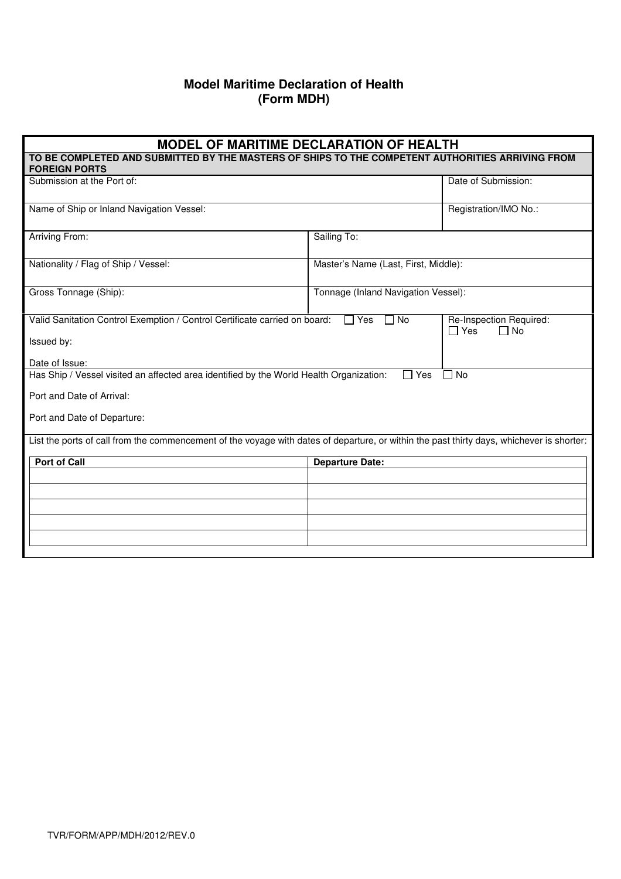## **Model Maritime Declaration of Health (Form MDH)**

| <b>MODEL OF MARITIME DECLARATION OF HEALTH</b>                                                                                            |                                      |                                                       |  |  |
|-------------------------------------------------------------------------------------------------------------------------------------------|--------------------------------------|-------------------------------------------------------|--|--|
| TO BE COMPLETED AND SUBMITTED BY THE MASTERS OF SHIPS TO THE COMPETENT AUTHORITIES ARRIVING FROM<br><b>FOREIGN PORTS</b>                  |                                      |                                                       |  |  |
| Submission at the Port of:                                                                                                                |                                      | Date of Submission:                                   |  |  |
| Name of Ship or Inland Navigation Vessel:                                                                                                 |                                      | Registration/IMO No.:                                 |  |  |
| <b>Arriving From:</b>                                                                                                                     | Sailing To:                          |                                                       |  |  |
| Nationality / Flag of Ship / Vessel:                                                                                                      | Master's Name (Last, First, Middle): |                                                       |  |  |
| Gross Tonnage (Ship):                                                                                                                     | Tonnage (Inland Navigation Vessel):  |                                                       |  |  |
| Valid Sanitation Control Exemption / Control Certificate carried on board:                                                                | $\Box$ No<br>$\Box$ Yes              | Re-Inspection Required:<br>$\Box$ No<br>$\square$ Yes |  |  |
| Issued by:                                                                                                                                |                                      |                                                       |  |  |
| Date of Issue:                                                                                                                            |                                      |                                                       |  |  |
| Has Ship / Vessel visited an affected area identified by the World Health Organization:<br>Yes<br><b>No</b>                               |                                      |                                                       |  |  |
| Port and Date of Arrival:                                                                                                                 |                                      |                                                       |  |  |
| Port and Date of Departure:                                                                                                               |                                      |                                                       |  |  |
| List the ports of call from the commencement of the voyage with dates of departure, or within the past thirty days, whichever is shorter: |                                      |                                                       |  |  |
| <b>Port of Call</b>                                                                                                                       | <b>Departure Date:</b>               |                                                       |  |  |
|                                                                                                                                           |                                      |                                                       |  |  |
|                                                                                                                                           |                                      |                                                       |  |  |
|                                                                                                                                           |                                      |                                                       |  |  |
|                                                                                                                                           |                                      |                                                       |  |  |
|                                                                                                                                           |                                      |                                                       |  |  |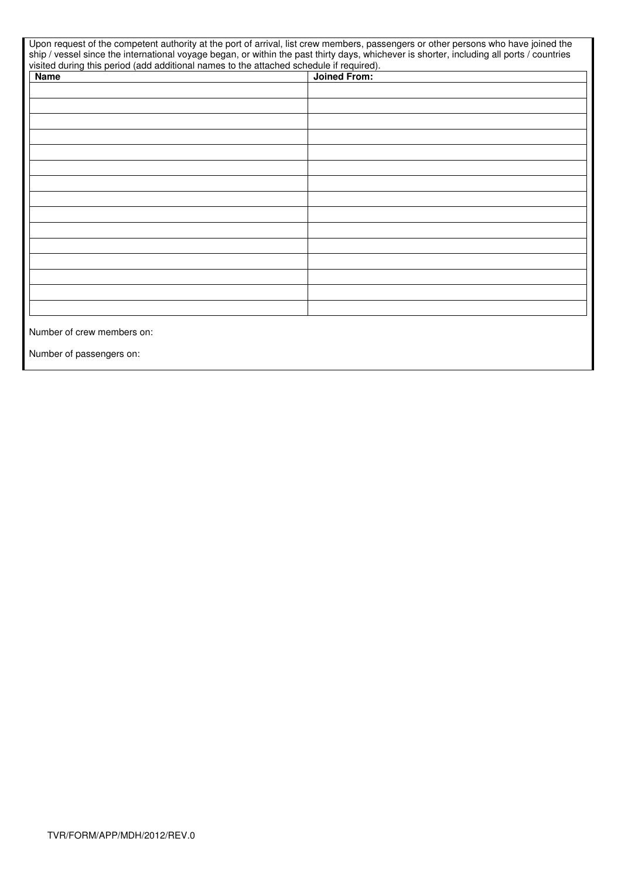| Upon request of the competent authority at the port of arrival, list crew members, passengers or other persons who have joined the<br>ship / vessel since the international voyage began, or within the past thirty days, whichever is shorter, including all ports / countries<br>visited during this period (add additional names to the attached schedule if required). |                     |
|----------------------------------------------------------------------------------------------------------------------------------------------------------------------------------------------------------------------------------------------------------------------------------------------------------------------------------------------------------------------------|---------------------|
| <b>Name</b>                                                                                                                                                                                                                                                                                                                                                                | <b>Joined From:</b> |
|                                                                                                                                                                                                                                                                                                                                                                            |                     |
|                                                                                                                                                                                                                                                                                                                                                                            |                     |
|                                                                                                                                                                                                                                                                                                                                                                            |                     |
|                                                                                                                                                                                                                                                                                                                                                                            |                     |
|                                                                                                                                                                                                                                                                                                                                                                            |                     |
|                                                                                                                                                                                                                                                                                                                                                                            |                     |
|                                                                                                                                                                                                                                                                                                                                                                            |                     |
|                                                                                                                                                                                                                                                                                                                                                                            |                     |
|                                                                                                                                                                                                                                                                                                                                                                            |                     |
|                                                                                                                                                                                                                                                                                                                                                                            |                     |
|                                                                                                                                                                                                                                                                                                                                                                            |                     |
|                                                                                                                                                                                                                                                                                                                                                                            |                     |
|                                                                                                                                                                                                                                                                                                                                                                            |                     |
|                                                                                                                                                                                                                                                                                                                                                                            |                     |
|                                                                                                                                                                                                                                                                                                                                                                            |                     |
|                                                                                                                                                                                                                                                                                                                                                                            |                     |
|                                                                                                                                                                                                                                                                                                                                                                            |                     |
|                                                                                                                                                                                                                                                                                                                                                                            |                     |
|                                                                                                                                                                                                                                                                                                                                                                            |                     |
| Number of crew members on:                                                                                                                                                                                                                                                                                                                                                 |                     |

Number of passengers on: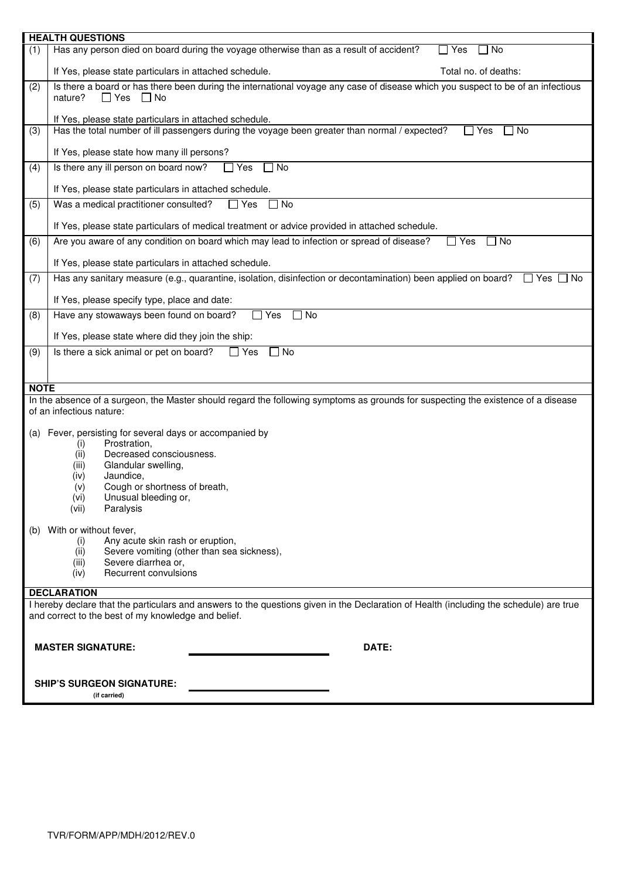| <b>HEALTH QUESTIONS</b>                                                                                                                                                                        |
|------------------------------------------------------------------------------------------------------------------------------------------------------------------------------------------------|
| Has any person died on board during the voyage otherwise than as a result of accident?<br>$\Box$ Yes<br>No<br>(1)                                                                              |
| Total no. of deaths:<br>If Yes, please state particulars in attached schedule.                                                                                                                 |
| Is there a board or has there been during the international voyage any case of disease which you suspect to be of an infectious<br>(2)<br>nature?<br>$\Box$ Yes $\Box$ No                      |
| If Yes, please state particulars in attached schedule.<br>Has the total number of ill passengers during the voyage been greater than normal / expected?<br>$\Box$ Yes<br>l No<br>(3)           |
| If Yes, please state how many ill persons?                                                                                                                                                     |
| Is there any ill person on board now?<br>$\Box$ Yes<br>No<br>(4)                                                                                                                               |
| If Yes, please state particulars in attached schedule.                                                                                                                                         |
| Was a medical practitioner consulted?<br>$\Box$ Yes<br>$\Box$ No<br>(5)                                                                                                                        |
| If Yes, please state particulars of medical treatment or advice provided in attached schedule.                                                                                                 |
| Are you aware of any condition on board which may lead to infection or spread of disease?<br>(6)<br>$\Box$ Yes<br>No                                                                           |
| If Yes, please state particulars in attached schedule.                                                                                                                                         |
| Has any sanitary measure (e.g., quarantine, isolation, disinfection or decontamination) been applied on board?<br>(7)<br>$\Box$ Yes $\Box$<br>□ No                                             |
| If Yes, please specify type, place and date:                                                                                                                                                   |
| Have any stowaways been found on board?<br>$\Box$ Yes<br>] No<br>(8)                                                                                                                           |
| If Yes, please state where did they join the ship:                                                                                                                                             |
| Is there a sick animal or pet on board?<br>$\Box$ No<br>(9)<br>$\Box$ Yes                                                                                                                      |
|                                                                                                                                                                                                |
| <b>NOTE</b>                                                                                                                                                                                    |
| In the absence of a surgeon, the Master should regard the following symptoms as grounds for suspecting the existence of a disease<br>of an infectious nature:                                  |
| (a) Fever, persisting for several days or accompanied by                                                                                                                                       |
| Prostration,<br>(i)<br>Decreased consciousness.                                                                                                                                                |
| (ii)<br>Glandular swelling,<br>(iii)                                                                                                                                                           |
| Jaundice,<br>(iv)                                                                                                                                                                              |
| Cough or shortness of breath,<br>(v)                                                                                                                                                           |
| Unusual bleeding or,<br>(vi)<br>Paralysis<br>(vii)                                                                                                                                             |
|                                                                                                                                                                                                |
| (b) With or without fever,<br>Any acute skin rash or eruption,                                                                                                                                 |
| (i)<br>Severe vomiting (other than sea sickness),<br>(ii)                                                                                                                                      |
| Severe diarrhea or,<br>(iii)                                                                                                                                                                   |
| Recurrent convulsions<br>(iv)                                                                                                                                                                  |
| <b>DECLARATION</b>                                                                                                                                                                             |
| I hereby declare that the particulars and answers to the questions given in the Declaration of Health (including the schedule) are true<br>and correct to the best of my knowledge and belief. |
|                                                                                                                                                                                                |
| DATE:<br><b>MASTER SIGNATURE:</b>                                                                                                                                                              |
| <b>SHIP'S SURGEON SIGNATURE:</b>                                                                                                                                                               |